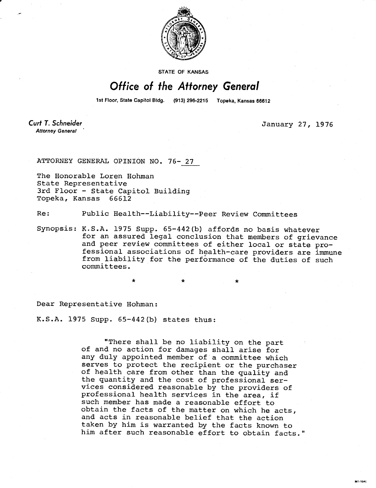

STATE OF KANSAS

## Office of the Attorney General

1st Floor, State Capitol Bldg. (913) 296-2215 Topeka, Kansas 66612

Curt T. Schneider **Attorney General** 

January 27, 1976

Mt-1045

ATTORNEY GENERAL OPINION NO. 76- 27

The Honorable Loren Hohman State Representative 3rd Floor - State Capitol Building Topeka, Kansas 66612

Re: Public Health--Liability--Peer Review Committees

Synopsis: K.S.A. 1975 Supp. 65-442(b) affords no basis whatever for an assured legal conclusion that members of grievance and peer review committees of either local or state professional associations of health-care providers are immune from liability for the performance of the duties of such committees.

Dear Representative Hohman:

K.S.A. 1975 Supp. 65-442(b) states thus:

"There shall be no liability on the part of and no action for damages shall arise for any duly appointed member of a committee which serves to protect the recipient or the purchaser of health care from other than the quality and the quantity and the cost of professional services considered reasonable by the providers of professional health services in the area, if such member has made a reasonable effort to obtain the facts of the matter on which he acts, and acts in reasonable belief that the action taken by him is warranted by the facts known to him after such reasonable effort to obtain facts."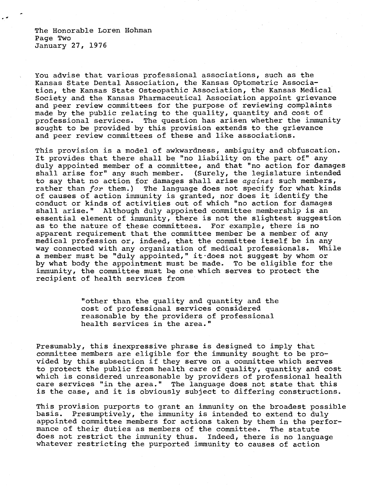The Honorable Loren Hohman Page Two January 27, 1976

You advise that various professional associations, such as the Kansas State Dental Association, the Kansas Optometric Association, the Kansas State Osteopathic Association, the Kansas Medical Society and the Kansas Pharmaceutical Association appoint grievance and peer review committees for the purpose of reviewing complaints made by the public relating to the quality, quantity and cost of professional services. The question has arisen whether the immunity sought to be provided by this provision extends to the grievance and peer review committees of these and like associations.

This provision is a model of awkwardness, ambiguity and obfuscation. It provides that there shall be "no liability on the part of" any duly appointed member of a committee, and that "no action for damages shall arise for" any such member. (Surely, the legislature intended to say that no action for damages shall arise against such members, rather than for them.) The language does not specify for what kinds of causes of action immunity is granted, nor does it identify the conduct or kinds of activities out of which "no action for damages shall arise." Although duly appointed committee membership is an essential element of immunity, there is not the slightest suggestion as to the nature of these committees. For example, there is no apparent requirement that the committee member be a member of any medical profession or, indeed, that the committee itself be in any way connected with any organization of medical professionals. While a member must be "duly appointed," it does not suggest by whom or by what body the appointment must be made. To be eligible for the immunity, the committee must be one which serves to protect the recipient of health services from

> "other than the quality and quantity and the cost of professional services considered reasonable by the providers of professional health services in the area."

Presumably, this inexpressive phrase is designed to imply that committee members are eligible for the immunity sought to be provided by this subsection if they serve on a committee which serves to protect the public from health care of quality, quantity and cost which is considered unreasonable by providers of professional health care services "in the area." The language does not state that this is the case, and it is obviously subject to differing constructions.

This provision purports to grant an immunity on the broadest possible basis. Presumptively, the immunity is intended to extend to duly appointed committee members for actions taken by them in the performance of their duties as members of the committee. The statute does not restrict the immunity thus. Indeed, there is no language whatever restricting the purported immunity to causes of action